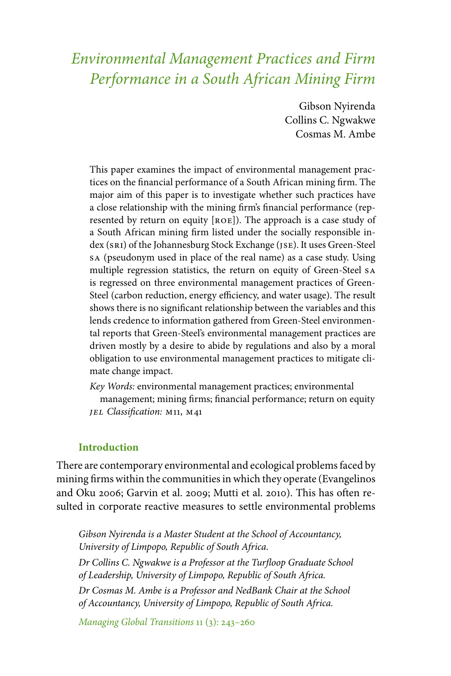# *Environmental Management Practices and Firm Performance in a South African Mining Firm*

Gibson Nyirenda Collins C. Ngwakwe Cosmas M. Ambe

This paper examines the impact of environmental management practices on the financial performance of a South African mining firm. The major aim of this paper is to investigate whether such practices have a close relationship with the mining firm's financial performance (represented by return on equity [roe]). The approach is a case study of a South African mining firm listed under the socially responsible index (sri) of the Johannesburg Stock Exchange (jse). It uses Green-Steel sa (pseudonym used in place of the real name) as a case study. Using multiple regression statistics, the return on equity of Green-Steel sa is regressed on three environmental management practices of Green-Steel (carbon reduction, energy efficiency, and water usage). The result shows there is no significant relationship between the variables and this lends credence to information gathered from Green-Steel environmental reports that Green-Steel's environmental management practices are driven mostly by a desire to abide by regulations and also by a moral obligation to use environmental management practices to mitigate climate change impact.

*Key Words:* environmental management practices; environmental management; mining firms; financial performance; return on equity *jel Classification:* m11, m41

#### **Introduction**

There are contemporary environmental and ecological problems faced by mining firms within the communities in which they operate (Evangelinos and Oku 2006; Garvin et al. 2009; Mutti et al. 2010). This has often resulted in corporate reactive measures to settle environmental problems

*Gibson Nyirenda is a Master Student at the School of Accountancy, University of Limpopo, Republic of South Africa. Dr Collins C. Ngwakwe is a Professor at the Turfloop Graduate School of Leadership, University of Limpopo, Republic of South Africa.*

*Dr Cosmas M. Ambe is a Professor and NedBank Chair at the School of Accountancy, University of Limpopo, Republic of South Africa.*

*Managing Global Transitions* 11 (3): 243–260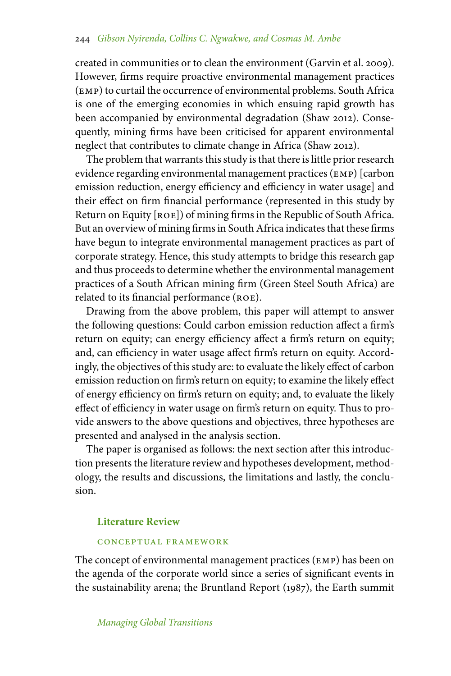#### 244 *Gibson Nyirenda, Collins C. Ngwakwe, and Cosmas M. Ambe*

created in communities or to clean the environment (Garvin et al. 2009). However, firms require proactive environmental management practices (emp) to curtail the occurrence of environmental problems. South Africa is one of the emerging economies in which ensuing rapid growth has been accompanied by environmental degradation (Shaw 2012). Consequently, mining firms have been criticised for apparent environmental neglect that contributes to climate change in Africa (Shaw 2012).

The problem that warrants this study is that there is little prior research evidence regarding environmental management practices (emp) [carbon emission reduction, energy efficiency and efficiency in water usage] and their effect on firm financial performance (represented in this study by Return on Equity [ROE]) of mining firms in the Republic of South Africa. But an overview of mining firms in South Africa indicates that these firms have begun to integrate environmental management practices as part of corporate strategy. Hence, this study attempts to bridge this research gap and thus proceeds to determine whether the environmental management practices of a South African mining firm (Green Steel South Africa) are related to its financial performance (ROE).

Drawing from the above problem, this paper will attempt to answer the following questions: Could carbon emission reduction affect a firm's return on equity; can energy efficiency affect a firm's return on equity; and, can efficiency in water usage affect firm's return on equity. Accordingly, the objectives of this study are: to evaluate the likely effect of carbon emission reduction on firm's return on equity; to examine the likely effect of energy efficiency on firm's return on equity; and, to evaluate the likely effect of efficiency in water usage on firm's return on equity. Thus to provide answers to the above questions and objectives, three hypotheses are presented and analysed in the analysis section.

The paper is organised as follows: the next section after this introduction presents the literature review and hypotheses development, methodology, the results and discussions, the limitations and lastly, the conclusion.

#### **Literature Review**

#### conceptual framework

The concept of environmental management practices (EMP) has been on the agenda of the corporate world since a series of significant events in the sustainability arena; the Bruntland Report (1987), the Earth summit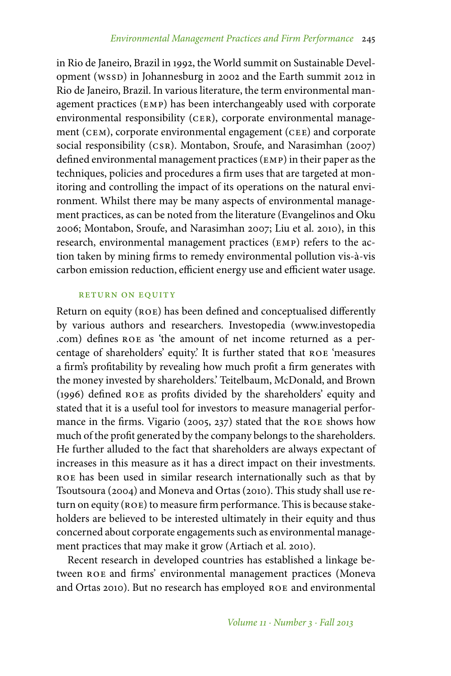in Rio de Janeiro, Brazil in 1992, the World summit on Sustainable Development (wssp) in Johannesburg in 2002 and the Earth summit 2012 in Rio de Janeiro, Brazil. In various literature, the term environmental management practices (emp) has been interchangeably used with corporate environmental responsibility (CER), corporate environmental management (CEM), corporate environmental engagement (CEE) and corporate social responsibility (csr). Montabon, Sroufe, and Narasimhan (2007) defined environmental management practices (emp) in their paper as the techniques, policies and procedures a firm uses that are targeted at monitoring and controlling the impact of its operations on the natural environment. Whilst there may be many aspects of environmental management practices, as can be noted from the literature (Evangelinos and Oku 2006; Montabon, Sroufe, and Narasimhan 2007; Liu et al. 2010), in this research, environmental management practices (emp) refers to the action taken by mining firms to remedy environmental pollution vis-à-vis carbon emission reduction, efficient energy use and efficient water usage.

#### RETURN ON EQUITY

Return on equity (ROE) has been defined and conceptualised differently by various authors and researchers. Investopedia (www.investopedia .com) defines roe as 'the amount of net income returned as a percentage of shareholders' equity.' It is further stated that roe 'measures a firm's profitability by revealing how much profit a firm generates with the money invested by shareholders.' Teitelbaum, McDonald, and Brown (1996) defined roe as profits divided by the shareholders' equity and stated that it is a useful tool for investors to measure managerial performance in the firms. Vigario (2005, 237) stated that the roe shows how much of the profit generated by the company belongs to the shareholders. He further alluded to the fact that shareholders are always expectant of increases in this measure as it has a direct impact on their investments. roe has been used in similar research internationally such as that by Tsoutsoura (2004) and Moneva and Ortas (2010). This study shall use return on equity (ROE) to measure firm performance. This is because stakeholders are believed to be interested ultimately in their equity and thus concerned about corporate engagements such as environmental management practices that may make it grow (Artiach et al. 2010).

Recent research in developed countries has established a linkage between roe and firms' environmental management practices (Moneva and Ortas 2010). But no research has employed roe and environmental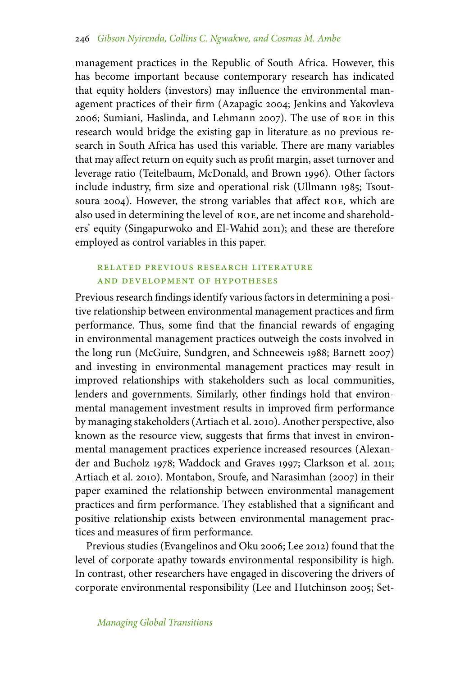management practices in the Republic of South Africa. However, this has become important because contemporary research has indicated that equity holders (investors) may influence the environmental management practices of their firm (Azapagic 2004; Jenkins and Yakovleva 2006; Sumiani, Haslinda, and Lehmann 2007). The use of roe in this research would bridge the existing gap in literature as no previous research in South Africa has used this variable. There are many variables that may affect return on equity such as profit margin, asset turnover and leverage ratio (Teitelbaum, McDonald, and Brown 1996). Other factors include industry, firm size and operational risk (Ullmann 1985; Tsoutsoura 2004). However, the strong variables that affect ROE, which are also used in determining the level of roe, are net income and shareholders' equity (Singapurwoko and El-Wahid 2011); and these are therefore employed as control variables in this paper.

# related previous research literature and development of hypotheses

Previous research findings identify various factors in determining a positive relationship between environmental management practices and firm performance. Thus, some find that the financial rewards of engaging in environmental management practices outweigh the costs involved in the long run (McGuire, Sundgren, and Schneeweis 1988; Barnett 2007) and investing in environmental management practices may result in improved relationships with stakeholders such as local communities, lenders and governments. Similarly, other findings hold that environmental management investment results in improved firm performance by managing stakeholders (Artiach et al. 2010). Another perspective, also known as the resource view, suggests that firms that invest in environmental management practices experience increased resources (Alexander and Bucholz 1978; Waddock and Graves 1997; Clarkson et al. 2011; Artiach et al. 2010). Montabon, Sroufe, and Narasimhan (2007) in their paper examined the relationship between environmental management practices and firm performance. They established that a significant and positive relationship exists between environmental management practices and measures of firm performance.

Previous studies (Evangelinos and Oku 2006; Lee 2012) found that the level of corporate apathy towards environmental responsibility is high. In contrast, other researchers have engaged in discovering the drivers of corporate environmental responsibility (Lee and Hutchinson 2005; Set-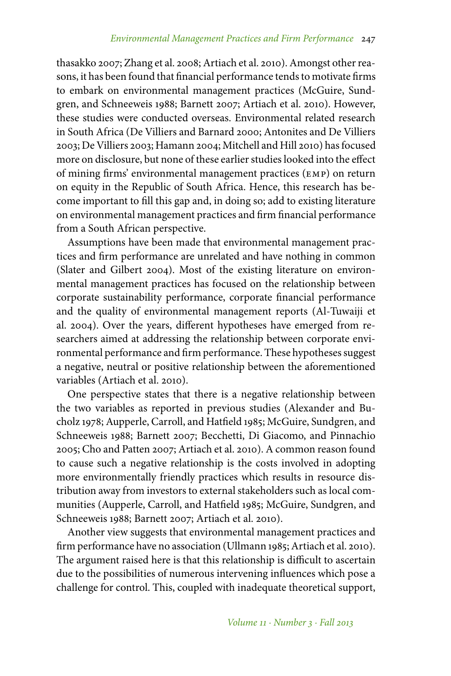thasakko 2007; Zhang et al. 2008; Artiach et al. 2010). Amongst other reasons, it has been found that financial performance tends to motivate firms to embark on environmental management practices (McGuire, Sundgren, and Schneeweis 1988; Barnett 2007; Artiach et al. 2010). However, these studies were conducted overseas. Environmental related research in South Africa (De Villiers and Barnard 2000; Antonites and De Villiers 2003; De Villiers 2003; Hamann 2004; Mitchell and Hill 2010) has focused more on disclosure, but none of these earlier studies looked into the effect of mining firms' environmental management practices (emp) on return on equity in the Republic of South Africa. Hence, this research has become important to fill this gap and, in doing so; add to existing literature on environmental management practices and firm financial performance from a South African perspective.

Assumptions have been made that environmental management practices and firm performance are unrelated and have nothing in common (Slater and Gilbert 2004). Most of the existing literature on environmental management practices has focused on the relationship between corporate sustainability performance, corporate financial performance and the quality of environmental management reports (Al-Tuwaiji et al. 2004). Over the years, different hypotheses have emerged from researchers aimed at addressing the relationship between corporate environmental performance and firm performance. These hypotheses suggest a negative, neutral or positive relationship between the aforementioned variables (Artiach et al. 2010).

One perspective states that there is a negative relationship between the two variables as reported in previous studies (Alexander and Bucholz 1978; Aupperle, Carroll, and Hatfield 1985; McGuire, Sundgren, and Schneeweis 1988; Barnett 2007; Becchetti, Di Giacomo, and Pinnachio 2005; Cho and Patten 2007; Artiach et al. 2010). A common reason found to cause such a negative relationship is the costs involved in adopting more environmentally friendly practices which results in resource distribution away from investors to external stakeholders such as local communities (Aupperle, Carroll, and Hatfield 1985; McGuire, Sundgren, and Schneeweis 1988; Barnett 2007; Artiach et al. 2010).

Another view suggests that environmental management practices and firm performance have no association (Ullmann 1985; Artiach et al. 2010). The argument raised here is that this relationship is difficult to ascertain due to the possibilities of numerous intervening influences which pose a challenge for control. This, coupled with inadequate theoretical support,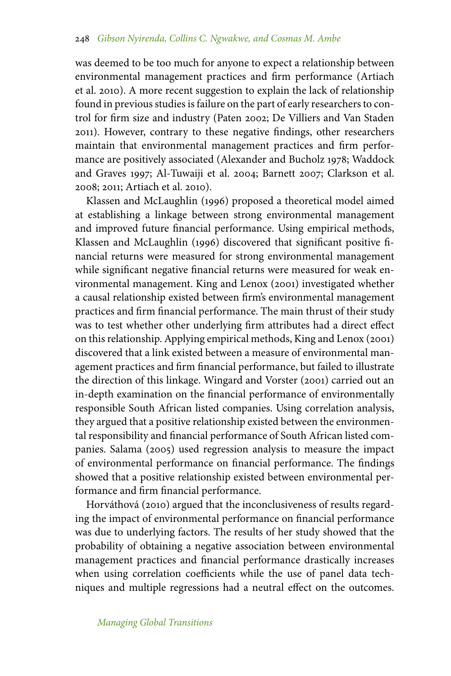was deemed to be too much for anyone to expect a relationship between environmental management practices and firm performance (Artiach et al. 2010). A more recent suggestion to explain the lack of relationship found in previous studies is failure on the part of early researchers to control for firm size and industry (Paten 2002; De Villiers and Van Staden 2011). However, contrary to these negative findings, other researchers maintain that environmental management practices and firm performance are positively associated (Alexander and Bucholz 1978; Waddock and Graves 1997; Al-Tuwaiji et al. 2004; Barnett 2007; Clarkson et al. 2008; 2011; Artiach et al. 2010).

Klassen and McLaughlin (1996) proposed a theoretical model aimed at establishing a linkage between strong environmental management and improved future financial performance. Using empirical methods, Klassen and McLaughlin (1996) discovered that significant positive financial returns were measured for strong environmental management while significant negative financial returns were measured for weak environmental management. King and Lenox (2001) investigated whether a causal relationship existed between firm's environmental management practices and firm financial performance. The main thrust of their study was to test whether other underlying firm attributes had a direct effect on this relationship. Applying empirical methods, King and Lenox (2001) discovered that a link existed between a measure of environmental management practices and firm financial performance, but failed to illustrate the direction of this linkage. Wingard and Vorster (2001) carried out an in-depth examination on the financial performance of environmentally responsible South African listed companies. Using correlation analysis, they argued that a positive relationship existed between the environmental responsibility and financial performance of South African listed companies. Salama (2005) used regression analysis to measure the impact of environmental performance on financial performance. The findings showed that a positive relationship existed between environmental performance and firm financial performance.

Horváthová (2010) argued that the inconclusiveness of results regarding the impact of environmental performance on financial performance was due to underlying factors. The results of her study showed that the probability of obtaining a negative association between environmental management practices and financial performance drastically increases when using correlation coefficients while the use of panel data techniques and multiple regressions had a neutral effect on the outcomes.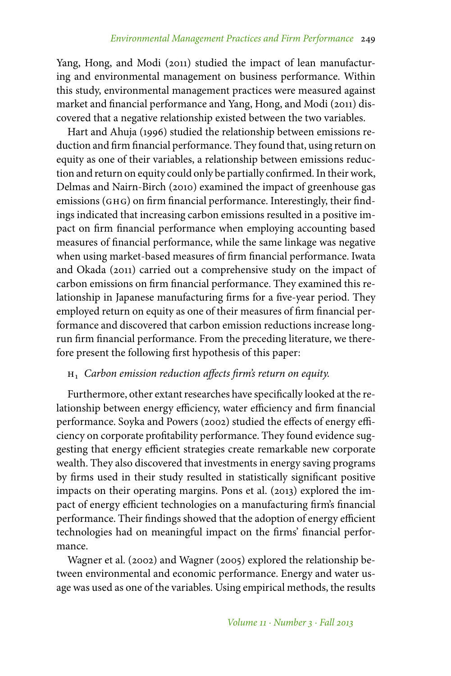Yang, Hong, and Modi (2011) studied the impact of lean manufacturing and environmental management on business performance. Within this study, environmental management practices were measured against market and financial performance and Yang, Hong, and Modi (2011) discovered that a negative relationship existed between the two variables.

Hart and Ahuja (1996) studied the relationship between emissions reduction and firm financial performance. They found that, using return on equity as one of their variables, a relationship between emissions reduction and return on equity could only be partially confirmed. In their work, Delmas and Nairn-Birch (2010) examined the impact of greenhouse gas emissions (GHG) on firm financial performance. Interestingly, their findings indicated that increasing carbon emissions resulted in a positive impact on firm financial performance when employing accounting based measures of financial performance, while the same linkage was negative when using market-based measures of firm financial performance. Iwata and Okada (2011) carried out a comprehensive study on the impact of carbon emissions on firm financial performance. They examined this relationship in Japanese manufacturing firms for a five-year period. They employed return on equity as one of their measures of firm financial performance and discovered that carbon emission reductions increase longrun firm financial performance. From the preceding literature, we therefore present the following first hypothesis of this paper:

# h<sup>1</sup> *Carbon emission reduction affects firm's return on equity.*

Furthermore, other extant researches have specifically looked at the relationship between energy efficiency, water efficiency and firm financial performance. Soyka and Powers (2002) studied the effects of energy efficiency on corporate profitability performance. They found evidence suggesting that energy efficient strategies create remarkable new corporate wealth. They also discovered that investments in energy saving programs by firms used in their study resulted in statistically significant positive impacts on their operating margins. Pons et al. (2013) explored the impact of energy efficient technologies on a manufacturing firm's financial performance. Their findings showed that the adoption of energy efficient technologies had on meaningful impact on the firms' financial performance.

Wagner et al. (2002) and Wagner (2005) explored the relationship between environmental and economic performance. Energy and water usage was used as one of the variables. Using empirical methods, the results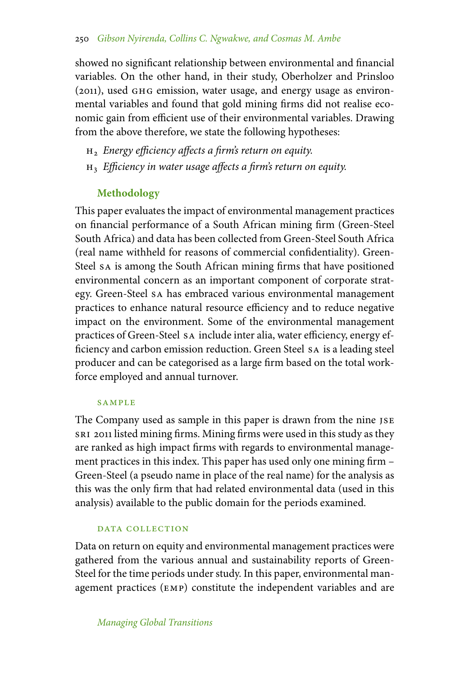showed no significant relationship between environmental and financial variables. On the other hand, in their study, Oberholzer and Prinsloo (2011), used ghg emission, water usage, and energy usage as environmental variables and found that gold mining firms did not realise economic gain from efficient use of their environmental variables. Drawing from the above therefore, we state the following hypotheses:

- h<sup>2</sup> *Energy efficiency affects a firm's return on equity.*
- h<sup>3</sup> *Efficiency in water usage affects a firm's return on equity.*

## **Methodology**

This paper evaluates the impact of environmental management practices on financial performance of a South African mining firm (Green-Steel South Africa) and data has been collected from Green-Steel South Africa (real name withheld for reasons of commercial confidentiality). Green-Steel sa is among the South African mining firms that have positioned environmental concern as an important component of corporate strategy. Green-Steel sa has embraced various environmental management practices to enhance natural resource efficiency and to reduce negative impact on the environment. Some of the environmental management practices of Green-Steel sa include inter alia, water efficiency, energy efficiency and carbon emission reduction. Green Steel sa is a leading steel producer and can be categorised as a large firm based on the total workforce employed and annual turnover.

#### **SAMPLE**

The Company used as sample in this paper is drawn from the nine JSE sri 2011 listed mining firms. Mining firms were used in this study as they are ranked as high impact firms with regards to environmental management practices in this index. This paper has used only one mining firm – Green-Steel (a pseudo name in place of the real name) for the analysis as this was the only firm that had related environmental data (used in this analysis) available to the public domain for the periods examined.

#### DATA COLLECTION

Data on return on equity and environmental management practices were gathered from the various annual and sustainability reports of Green-Steel for the time periods under study. In this paper, environmental management practices (emp) constitute the independent variables and are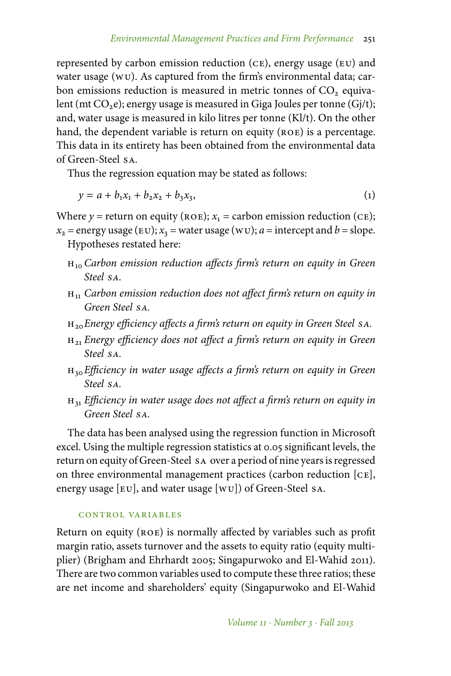represented by carbon emission reduction (ce), energy usage (eu) and water usage (wu). As captured from the firm's environmental data; carbon emissions reduction is measured in metric tonnes of  $CO<sub>2</sub>$  equivalent (mt  $CO<sub>2</sub>e$ ); energy usage is measured in Giga Joules per tonne (Gj/t); and, water usage is measured in kilo litres per tonne (Kl/t). On the other hand, the dependent variable is return on equity (ROE) is a percentage. This data in its entirety has been obtained from the environmental data of Green-Steel sa.

Thus the regression equation may be stated as follows:

$$
y = a + b_1 x_1 + b_2 x_2 + b_3 x_3, \tag{1}
$$

Where  $y =$  return on equity ( $ROE$ );  $x_1 =$  carbon emission reduction ( $CE$ );

 $x_2$  = energy usage (EU);  $x_3$  = water usage (WU);  $a$  = intercept and  $b$  = slope. Hypotheses restated here:

- h<sup>10</sup> *Carbon emission reduction affects firm's return on equity in Green Steel sa.*
- $H_{11}$  *Carbon emission reduction does not affect firm's return on equity in Green Steel sa.*
- h20*Energy efficiency affects a firm's return on equity in Green Steel sa.*
- h<sup>21</sup> *Energy efficiency does not affect a firm's return on equity in Green Steel sa.*
- h30*Efficiency in water usage affects a firm's return on equity in Green Steel sa.*
- $H_{31}$  *Efficiency in water usage does not affect a firm's return on equity in Green Steel sa.*

The data has been analysed using the regression function in Microsoft excel. Using the multiple regression statistics at 0.05 significant levels, the return on equity of Green-Steel sa over a period of nine years is regressed on three environmental management practices (carbon reduction [ce], energy usage [eu], and water usage [wu]) of Green-Steel sa.

## control variables

Return on equity (ROE) is normally affected by variables such as profit margin ratio, assets turnover and the assets to equity ratio (equity multiplier) (Brigham and Ehrhardt 2005; Singapurwoko and El-Wahid 2011). There are two common variables used to compute these three ratios; these are net income and shareholders' equity (Singapurwoko and El-Wahid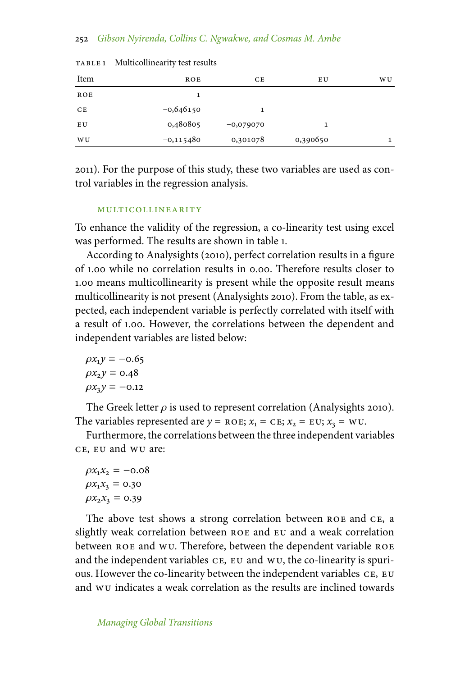#### 252 *Gibson Nyirenda, Collins C. Ngwakwe, and Cosmas M. Ambe*

| Item | ROE         | CE          | E U      | <b>WU</b> |
|------|-------------|-------------|----------|-----------|
| ROE  |             |             |          |           |
| CE   | $-0,646150$ | 1           |          |           |
| E U  | 0,480805    | $-0,079070$ |          |           |
| W U  | $-0,115480$ | 0,301078    | 0,390650 | 1         |

TABLE 1 Multicollinearity test results

2011). For the purpose of this study, these two variables are used as control variables in the regression analysis.

#### multicollinearity

To enhance the validity of the regression, a co-linearity test using excel was performed. The results are shown in table 1.

According to Analysights (2010), perfect correlation results in a figure of 1.00 while no correlation results in 0.00. Therefore results closer to 1.00 means multicollinearity is present while the opposite result means multicollinearity is not present (Analysights 2010). From the table, as expected, each independent variable is perfectly correlated with itself with a result of 1.00. However, the correlations between the dependent and independent variables are listed below:

$$
\rho x_1 y = -0.65
$$
  
\n
$$
\rho x_2 y = 0.48
$$
  
\n
$$
\rho x_3 y = -0.12
$$

The Greek letter  $\rho$  is used to represent correlation (Analysights 2010). The variables represented are  $y = ROE$ ;  $x_1 = CE$ ;  $x_2 = EU$ ;  $x_3 = WU$ .

Furthermore, the correlations between the three independent variables ce, eu and wu are:

 $\rho x_1 x_2 = -0.08$  $\rho x_1 x_3 = 0.30$  $\rho x_2 x_3 = 0.39$ 

The above test shows a strong correlation between ROE and CE, a slightly weak correlation between roe and eu and a weak correlation between ROE and WU. Therefore, between the dependent variable ROE and the independent variables  $cE$ ,  $EU$  and  $WU$ , the co-linearity is spurious. However the co-linearity between the independent variables ce, eu and wu indicates a weak correlation as the results are inclined towards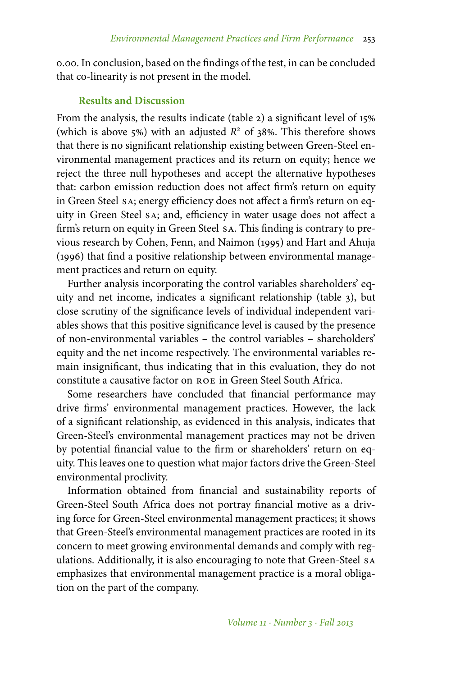0.00. In conclusion, based on the findings of the test, in can be concluded that co-linearity is not present in the model.

#### **Results and Discussion**

From the analysis, the results indicate (table 2) a significant level of 15% (which is above 5%) with an adjusted  $R^2$  of 38%. This therefore shows that there is no significant relationship existing between Green-Steel environmental management practices and its return on equity; hence we reject the three null hypotheses and accept the alternative hypotheses that: carbon emission reduction does not affect firm's return on equity in Green Steel sa; energy efficiency does not affect a firm's return on equity in Green Steel sa; and, efficiency in water usage does not affect a firm's return on equity in Green Steel sa. This finding is contrary to previous research by Cohen, Fenn, and Naimon (1995) and Hart and Ahuja (1996) that find a positive relationship between environmental management practices and return on equity.

Further analysis incorporating the control variables shareholders' equity and net income, indicates a significant relationship (table 3), but close scrutiny of the significance levels of individual independent variables shows that this positive significance level is caused by the presence of non-environmental variables – the control variables – shareholders' equity and the net income respectively. The environmental variables remain insignificant, thus indicating that in this evaluation, they do not constitute a causative factor on roe in Green Steel South Africa.

Some researchers have concluded that financial performance may drive firms' environmental management practices. However, the lack of a significant relationship, as evidenced in this analysis, indicates that Green-Steel's environmental management practices may not be driven by potential financial value to the firm or shareholders' return on equity. This leaves one to question what major factors drive the Green-Steel environmental proclivity.

Information obtained from financial and sustainability reports of Green-Steel South Africa does not portray financial motive as a driving force for Green-Steel environmental management practices; it shows that Green-Steel's environmental management practices are rooted in its concern to meet growing environmental demands and comply with regulations. Additionally, it is also encouraging to note that Green-Steel sa emphasizes that environmental management practice is a moral obligation on the part of the company.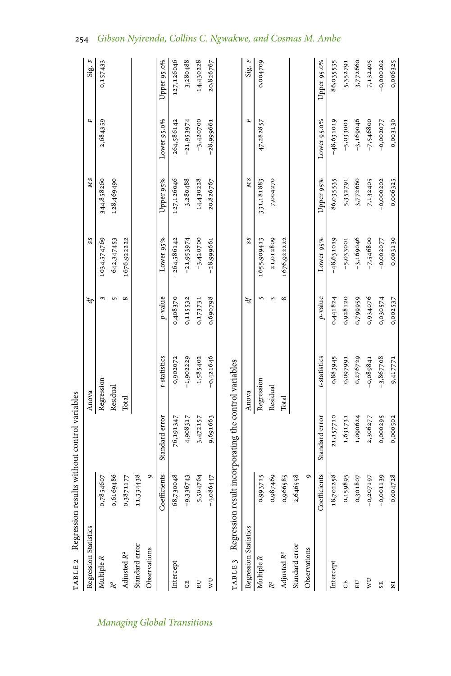| TABLE 2 Regression results without control variables |              |                                                       |              |               |               |                |               |             |
|------------------------------------------------------|--------------|-------------------------------------------------------|--------------|---------------|---------------|----------------|---------------|-------------|
| Regression Statistics                                |              |                                                       | Anova        | $\mathcal{A}$ | SS            | МS             | $\mathbf{r}$  | Sig. F      |
| Multiple R                                           | 0,7854607    |                                                       | Regression   |               | 1034,574769   | 344,858260     | 2,684359      | 0,157433    |
| R <sup>2</sup>                                       | 0,6169486    |                                                       | Residual     | $\sqrt{2}$    | 642,347453    | 128,469490     |               |             |
| Adjusted R <sup>2</sup>                              | 0,3871177    | Total                                                 |              | $\infty$      | 1676,922222   |                |               |             |
| Standard error                                       | 11,334438    |                                                       |              |               |               |                |               |             |
| Observations                                         | ٥            |                                                       |              |               |               |                |               |             |
|                                                      | Coefficients | Standard error                                        | t-statistics | $p$ -value    | Lower 95%     | Upper 95%      | Lower 95.0%   | Upper 95.0% |
| Intercept                                            | $-68,730048$ | 76,191347                                             | $-0,902072$  | 0,408370      | $-264,586142$ | 127,126046     | $-264,586142$ | 127,126046  |
| H                                                    | $-9,336743$  | 4,908317                                              | $-1,902229$  | 0,115532      | $-21,953974$  | 3,280488       | $-21,953974$  | 3,280488    |
| E                                                    | 5,504764     | 3,472157                                              | 1,585402     | 0,173731      | $-3,420700$   | 14,430228      | $-3,420700$   | 14,430228   |
| ΜU                                                   | $-4,086447$  | 9,691663                                              | $-0,421646$  | 0,690798      | $-28,999661$  | 20,826767      | $-28,999661$  | 20,826767   |
| Regression Statistics                                |              | Regression result incorporating the control variables | Anova        | Ą             | SS            | M <sub>S</sub> | $\mathbf{r}$  | Sig. $F$    |
| Multiple R                                           | 0,993715     |                                                       | Regression   | S             | 1655,909413   | 331,181883     | 47,282857     | 0,004709    |
|                                                      | 0,987469     |                                                       | Residual     | 3             | 21,012809     | 7,004270       |               |             |
| Adjusted R <sup>2</sup>                              | 0,966585     | Total                                                 |              | $\infty$      | 1676,922222   |                |               |             |
| Standard error                                       | 2,646558     |                                                       |              |               |               |                |               |             |
| Observations                                         | ٥            |                                                       |              |               |               |                |               |             |
|                                                      | Coefficients | Standard error                                        | t-statistics | $p$ -value    | Lower 95%     | Upper 95%      | Lower 95.0%   | Upper 95.0% |
| Intercept                                            | 18,702258    | 21,157710                                             | 0,883945     | 0,441824      | $-48,631019$  | 86,035535      | $-48,631019$  | 86,035535   |
| E,                                                   | 0,159895     | 1,631731                                              | 0,097991     | 0,928120      | $-5,033001$   | 5,352791       | $-5,033001$   | 5,352791    |
| $E$ U                                                | 0,301807     | 1,090624                                              | 0,276729     | 0,799959      | $-3,169046$   | 3,772660       | $-3,169046$   | 3,772660    |
| νU                                                   | $-0,207197$  | 2,306277                                              | $-0,089841$  | 0,934076      | $-7,546800$   | 7,132405       | $-7,546800$   | 7,132405    |
| $_{\rm SE}$                                          | $-0,001139$  | 0,000295                                              | $-3,867708$  | 0,030574      | $-0,002077$   | $-0,000202$    | $-0,002077$   | $-0,000202$ |
| $\overline{\mathbf{z}}$                              | 0,004728     | 0,000502                                              | 9,417771     | 0,002537      | 0,003130      | 0,006325       | 0,003130      | 0,006325    |

# 254 *Gibson Nyirenda, Collins C. Ngwakwe, and Cosmas M. Ambe*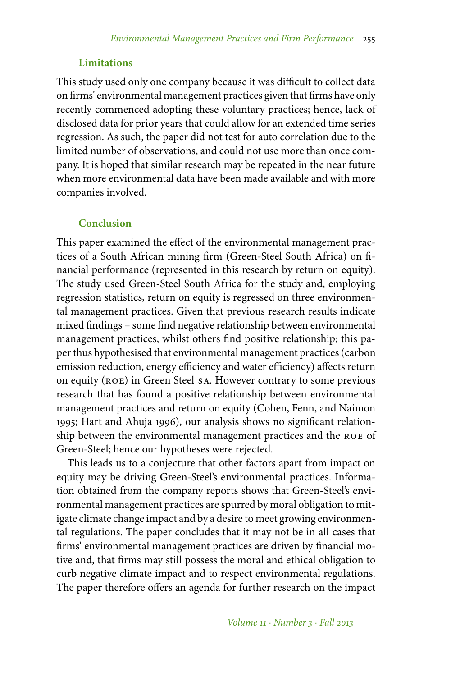## **Limitations**

This study used only one company because it was difficult to collect data on firms' environmental management practices given that firms have only recently commenced adopting these voluntary practices; hence, lack of disclosed data for prior years that could allow for an extended time series regression. As such, the paper did not test for auto correlation due to the limited number of observations, and could not use more than once company. It is hoped that similar research may be repeated in the near future when more environmental data have been made available and with more companies involved.

### **Conclusion**

This paper examined the effect of the environmental management practices of a South African mining firm (Green-Steel South Africa) on financial performance (represented in this research by return on equity). The study used Green-Steel South Africa for the study and, employing regression statistics, return on equity is regressed on three environmental management practices. Given that previous research results indicate mixed findings – some find negative relationship between environmental management practices, whilst others find positive relationship; this paper thus hypothesised that environmental management practices (carbon emission reduction, energy efficiency and water efficiency) affects return on equity (roe) in Green Steel sa. However contrary to some previous research that has found a positive relationship between environmental management practices and return on equity (Cohen, Fenn, and Naimon 1995; Hart and Ahuja 1996), our analysis shows no significant relationship between the environmental management practices and the roe of Green-Steel; hence our hypotheses were rejected.

This leads us to a conjecture that other factors apart from impact on equity may be driving Green-Steel's environmental practices. Information obtained from the company reports shows that Green-Steel's environmental management practices are spurred by moral obligation to mitigate climate change impact and by a desire to meet growing environmental regulations. The paper concludes that it may not be in all cases that firms' environmental management practices are driven by financial motive and, that firms may still possess the moral and ethical obligation to curb negative climate impact and to respect environmental regulations. The paper therefore offers an agenda for further research on the impact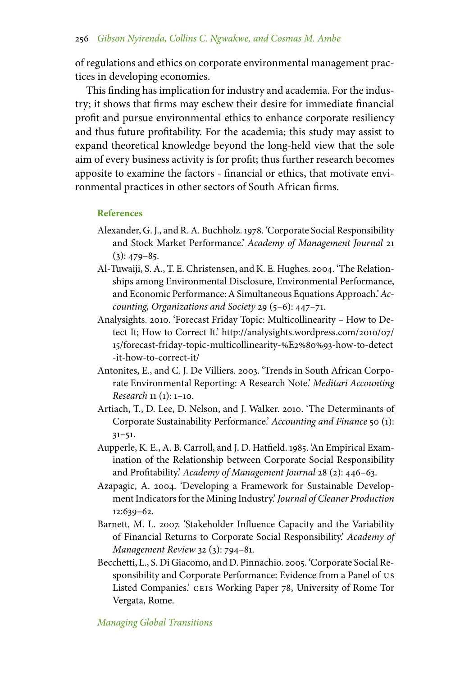of regulations and ethics on corporate environmental management practices in developing economies.

This finding has implication for industry and academia. For the industry; it shows that firms may eschew their desire for immediate financial profit and pursue environmental ethics to enhance corporate resiliency and thus future profitability. For the academia; this study may assist to expand theoretical knowledge beyond the long-held view that the sole aim of every business activity is for profit; thus further research becomes apposite to examine the factors - financial or ethics, that motivate environmental practices in other sectors of South African firms.

#### **References**

- Alexander, G. J., and R. A. Buchholz. 1978. 'Corporate Social Responsibility and Stock Market Performance.' *Academy of Management Journal* 21  $(3): 479 - 85.$
- Al-Tuwaiji, S. A., T. E. Christensen, and K. E. Hughes. 2004. 'The Relationships among Environmental Disclosure, Environmental Performance, and Economic Performance: A Simultaneous Equations Approach.'*Accounting, Organizations and Society* 29 (5–6): 447–71.
- Analysights. 2010. 'Forecast Friday Topic: Multicollinearity How to Detect It; How to Correct It.' http://analysights.wordpress.com/2010/07/ 15/forecast-friday-topic-multicollinearity-%E2%80%93-how-to-detect -it-how-to-correct-it/
- Antonites, E., and C. J. De Villiers. 2003. 'Trends in South African Corporate Environmental Reporting: A Research Note.' *Meditari Accounting Research* 11 (1): 1–10.
- Artiach, T., D. Lee, D. Nelson, and J. Walker. 2010. 'The Determinants of Corporate Sustainability Performance.' *Accounting and Finance* 50 (1): 31–51.
- Aupperle, K. E., A. B. Carroll, and J. D. Hatfield. 1985. 'An Empirical Examination of the Relationship between Corporate Social Responsibility and Profitability.' *Academy of Management Journal* 28 (2): 446–63.
- Azapagic, A. 2004. 'Developing a Framework for Sustainable Development Indicators for the Mining Industry.' *Journal of Cleaner Production* 12:639–62.
- Barnett, M. L. 2007. 'Stakeholder Influence Capacity and the Variability of Financial Returns to Corporate Social Responsibility.' *Academy of Management Review* 32 (3): 794–81.
- Becchetti, L., S. Di Giacomo, and D. Pinnachio. 2005. 'Corporate Social Responsibility and Corporate Performance: Evidence from a Panel of us Listed Companies.' ceis Working Paper 78, University of Rome Tor Vergata, Rome.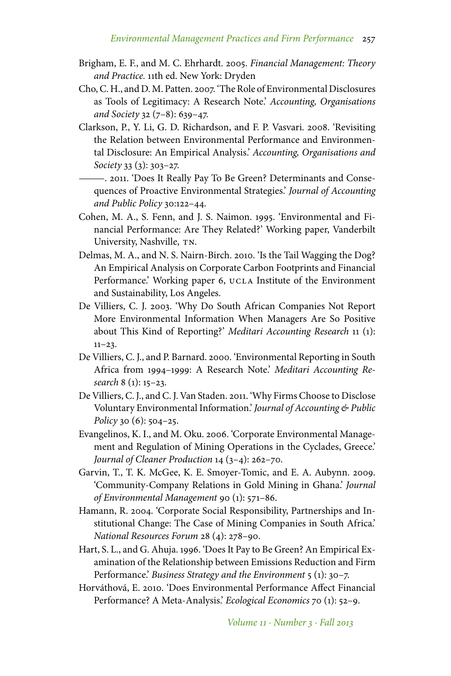- Brigham, E. F., and M. C. Ehrhardt. 2005. *Financial Management: Theory and Practice.* 11th ed. New York: Dryden
- Cho, C. H., and D. M. Patten. 2007. 'The Role of Environmental Disclosures as Tools of Legitimacy: A Research Note.' *Accounting, Organisations and Society* 32 (7–8): 639–47.
- Clarkson, P., Y. Li, G. D. Richardson, and F. P. Vasvari. 2008. 'Revisiting the Relation between Environmental Performance and Environmental Disclosure: An Empirical Analysis.' *Accounting, Organisations and Society* 33 (3): 303–27.
	- ———. 2011. 'Does It Really Pay To Be Green? Determinants and Consequences of Proactive Environmental Strategies.' *Journal of Accounting and Public Policy* 30:122–44.
- Cohen, M. A., S. Fenn, and J. S. Naimon. 1995. 'Environmental and Financial Performance: Are They Related?' Working paper, Vanderbilt University, Nashville, TN.
- Delmas, M. A., and N. S. Nairn-Birch. 2010. 'Is the Tail Wagging the Dog? An Empirical Analysis on Corporate Carbon Footprints and Financial Performance.' Working paper 6, UCLA Institute of the Environment and Sustainability, Los Angeles.
- De Villiers, C. J. 2003. 'Why Do South African Companies Not Report More Environmental Information When Managers Are So Positive about This Kind of Reporting?' *Meditari Accounting Research* 11 (1):  $11-23.$
- De Villiers, C. J., and P. Barnard. 2000. 'Environmental Reporting in South Africa from 1994–1999: A Research Note.' *Meditari Accounting Research* 8 (1): 15–23.
- De Villiers, C. J., and C. J. Van Staden. 2011. 'Why Firms Choose to Disclose Voluntary Environmental Information.' *Journal of Accounting & Public Policy* 30 (6): 504–25.
- Evangelinos, K. I., and M. Oku. 2006. 'Corporate Environmental Management and Regulation of Mining Operations in the Cyclades, Greece.' *Journal of Cleaner Production* 14 (3–4): 262–70.
- Garvin, T., T. K. McGee, K. E. Smoyer-Tomic, and E. A. Aubynn. 2009. 'Community-Company Relations in Gold Mining in Ghana.' *Journal of Environmental Management* 90 (1): 571–86.
- Hamann, R. 2004. 'Corporate Social Responsibility, Partnerships and Institutional Change: The Case of Mining Companies in South Africa.' *National Resources Forum* 28 (4): 278–90.
- Hart, S. L., and G. Ahuja. 1996. 'Does It Pay to Be Green? An Empirical Examination of the Relationship between Emissions Reduction and Firm Performance.' *Business Strategy and the Environment* 5 (1): 30–7.
- Horváthová, E. 2010. 'Does Environmental Performance Affect Financial Performance? A Meta-Analysis.' *Ecological Economics* 70 (1): 52–9.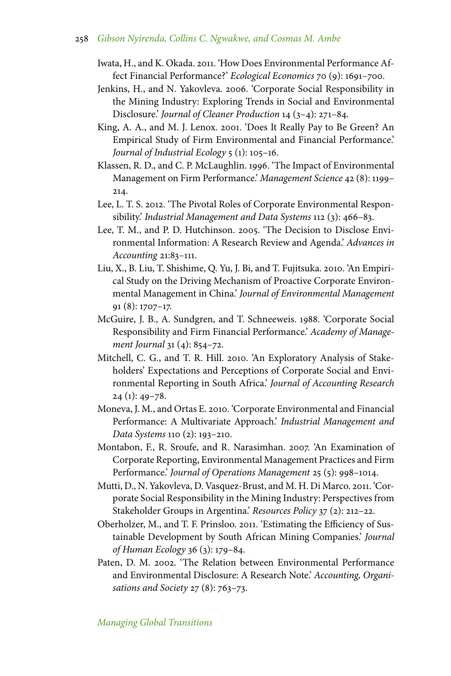- Iwata, H., and K. Okada. 2011. 'How Does Environmental Performance Affect Financial Performance?' *Ecological Economics* 70 (9): 1691–700.
- Jenkins, H., and N. Yakovleva. 2006. 'Corporate Social Responsibility in the Mining Industry: Exploring Trends in Social and Environmental Disclosure.' *Journal of Cleaner Production* 14 (3–4): 271–84.
- King, A. A., and M. J. Lenox. 2001. 'Does It Really Pay to Be Green? An Empirical Study of Firm Environmental and Financial Performance.' *Journal of Industrial Ecology* 5 (1): 105–16.
- Klassen, R. D., and C. P. McLaughlin. 1996. 'The Impact of Environmental Management on Firm Performance.' *Management Science* 42 (8): 1199– 214.
- Lee, L. T. S. 2012. 'The Pivotal Roles of Corporate Environmental Responsibility.' *Industrial Management and Data Systems* 112 (3): 466–83.
- Lee, T. M., and P. D. Hutchinson. 2005. 'The Decision to Disclose Environmental Information: A Research Review and Agenda.' *Advances in Accounting* 21:83–111.
- Liu, X., B. Liu, T. Shishime, Q. Yu, J. Bi, and T. Fujitsuka. 2010. 'An Empirical Study on the Driving Mechanism of Proactive Corporate Environmental Management in China.' *Journal of Environmental Management* 91 (8): 1707–17.
- McGuire, J. B., A. Sundgren, and T. Schneeweis. 1988. 'Corporate Social Responsibility and Firm Financial Performance.' *Academy of Management Journal* 31 (4): 854–72.
- Mitchell, C. G., and T. R. Hill. 2010. 'An Exploratory Analysis of Stakeholders' Expectations and Perceptions of Corporate Social and Environmental Reporting in South Africa.' *Journal of Accounting Research* 24 (1): 49–78.
- Moneva, J. M., and Ortas E. 2010. 'Corporate Environmental and Financial Performance: A Multivariate Approach.' *Industrial Management and Data Systems* 110 (2): 193–210.
- Montabon, F., R. Sroufe, and R. Narasimhan. 2007. 'An Examination of Corporate Reporting, Environmental Management Practices and Firm Performance.' *Journal of Operations Management* 25 (5): 998–1014.
- Mutti, D., N. Yakovleva, D. Vasquez-Brust, and M. H. Di Marco. 2011. 'Corporate Social Responsibility in the Mining Industry: Perspectives from Stakeholder Groups in Argentina.' *Resources Policy* 37 (2): 212–22.
- Oberholzer, M., and T. F. Prinsloo. 2011. 'Estimating the Efficiency of Sustainable Development by South African Mining Companies.' *Journal of Human Ecology* 36 (3): 179–84.
- Paten, D. M. 2002. 'The Relation between Environmental Performance and Environmental Disclosure: A Research Note.' *Accounting, Organisations and Society* 27 (8): 763–73.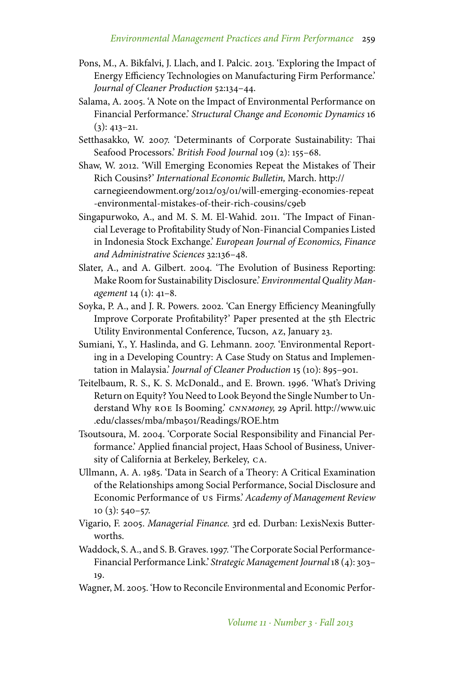- Pons, M., A. Bikfalvi, J. Llach, and I. Palcic. 2013. 'Exploring the Impact of Energy Efficiency Technologies on Manufacturing Firm Performance.' *Journal of Cleaner Production* 52:134–44.
- Salama, A. 2005. 'A Note on the Impact of Environmental Performance on Financial Performance.' *Structural Change and Economic Dynamics* 16  $(3): 413 - 21.$
- Setthasakko, W. 2007. 'Determinants of Corporate Sustainability: Thai Seafood Processors.' *British Food Journal* 109 (2): 155–68.
- Shaw, W. 2012. 'Will Emerging Economies Repeat the Mistakes of Their Rich Cousins?' *International Economic Bulletin,* March. http:// carnegieendowment.org/2012/03/01/will-emerging-economies-repeat -environmental-mistakes-of-their-rich-cousins/c9eb
- Singapurwoko, A., and M. S. M. El-Wahid. 2011. 'The Impact of Financial Leverage to Profitability Study of Non-Financial Companies Listed in Indonesia Stock Exchange.' *European Journal of Economics, Finance and Administrative Sciences* 32:136–48.
- Slater, A., and A. Gilbert. 2004. 'The Evolution of Business Reporting: Make Room for Sustainability Disclosure.' *Environmental Quality Management* 14 (1): 41–8.
- Soyka, P. A., and J. R. Powers. 2002. 'Can Energy Efficiency Meaningfully Improve Corporate Profitability?' Paper presented at the 5th Electric Utility Environmental Conference, Tucson, az, January 23.
- Sumiani, Y., Y. Haslinda, and G. Lehmann. 2007. 'Environmental Reporting in a Developing Country: A Case Study on Status and Implementation in Malaysia.' *Journal of Cleaner Production* 15 (10): 895–901.
- Teitelbaum, R. S., K. S. McDonald., and E. Brown. 1996. 'What's Driving Return on Equity? You Need to Look Beyond the Single Number to Understand Why roe Is Booming.' *cnnmoney,* 29 April. http://www.uic .edu/classes/mba/mba501/Readings/ROE.htm
- Tsoutsoura, M. 2004. 'Corporate Social Responsibility and Financial Performance.' Applied financial project, Haas School of Business, University of California at Berkeley, Berkeley, ca.
- Ullmann, A. A. 1985. 'Data in Search of a Theory: A Critical Examination of the Relationships among Social Performance, Social Disclosure and Economic Performance of us Firms.' *Academy of Management Review* 10 (3): 540–57.
- Vigario, F. 2005. *Managerial Finance.* 3rd ed. Durban: LexisNexis Butterworths.
- Waddock, S. A., and S. B. Graves. 1997. 'The Corporate Social Performance-Financial Performance Link.' *Strategic Management Journal*18 (4): 303– 19.
- Wagner, M. 2005. 'How to Reconcile Environmental and Economic Perfor-